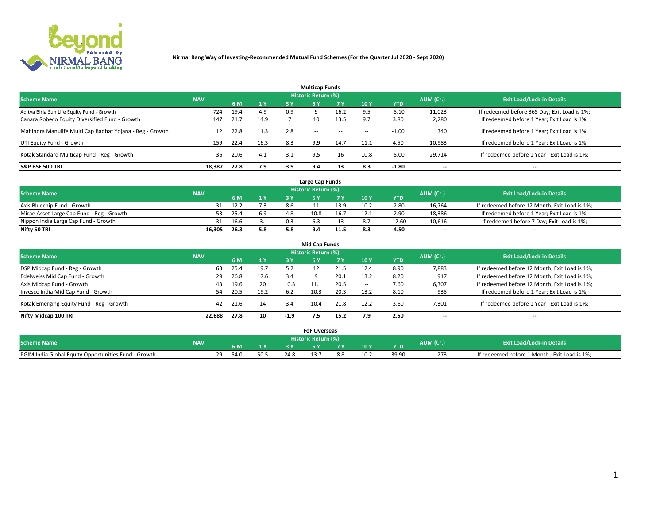

|                                                          |            |      |      |     | <b>Multicap Funds</b> |           |                          |            |           |                                              |
|----------------------------------------------------------|------------|------|------|-----|-----------------------|-----------|--------------------------|------------|-----------|----------------------------------------------|
| <b>Scheme Name</b>                                       | <b>NAV</b> |      |      |     | Historic Return (%)   |           |                          |            | AUM (Cr.) | <b>Exit Load/Lock-in Details</b>             |
|                                                          |            | 6 M  | 1Y   | 3 Y | <b>5Y</b>             | <b>7Y</b> | 10Y                      | <b>YTD</b> |           |                                              |
| Aditya Birla Sun Life Equity Fund - Growth               | 724        | 19.4 | 4.9  | 0.9 |                       | 16.2      |                          | $-5.10$    | 11,023    | If redeemed before 365 Day; Exit Load is 1%; |
| Canara Robeco Equity Diversified Fund - Growth           | 147        | 21.7 | 14.9 |     | 10                    | 13.5      |                          | 3.80       | 2,280     | If redeemed before 1 Year; Exit Load is 1%;  |
| Mahindra Manulife Multi Cap Badhat Yojana - Reg - Growth | 12         | 22.8 | 11.3 | 2.8 | $\sim$ $-$            | $\sim$    | $\overline{\phantom{a}}$ | $-1.00$    | 340       | If redeemed before 1 Year; Exit Load is 1%;  |
| UTI Equity Fund - Growth                                 | 159        | 22.4 | 16.3 | 8.3 | 9.9                   | 14.7      | 11.1                     | 4.50       | 10,983    | If redeemed before 1 Year; Exit Load is 1%;  |
| Kotak Standard Multicap Fund - Reg - Growth              | 36         | 20.6 | 4.1  | 3.1 | 9.5                   | 16        | 10.8                     | $-5.00$    | 29.714    | If redeemed before 1 Year; Exit Load is 1%;  |
| <b>S&amp;P BSE 500 TRI</b>                               | 18.387     | 27.8 | 7.9  | 3.9 | 9.4                   |           | 8.3                      | $-1.80$    | --        | $- -$                                        |

|                                           |            |      |                |     | Large Cap Funds     |      |      |            |                          |                                               |
|-------------------------------------------|------------|------|----------------|-----|---------------------|------|------|------------|--------------------------|-----------------------------------------------|
| <b>Scheme Name</b>                        | <b>NAV</b> |      |                |     | Historic Return (%) |      |      |            | AUM (Cr.)                | <b>Exit Load/Lock-in Details</b>              |
|                                           |            | 6 M  | 4 <sub>Y</sub> |     |                     |      | 10 Y | <b>YTD</b> |                          |                                               |
| Axis Bluechip Fund - Growth               |            | 12.2 |                | 8.6 |                     | 13.9 | 10.2 | $-2.80$    | 16,764                   | If redeemed before 12 Month; Exit Load is 1%; |
| Mirae Asset Large Cap Fund - Reg - Growth |            | 25.4 | 6.9            | 4.8 | 10.8                | 16.7 |      | $-2.90$    | 18,386                   | If redeemed before 1 Year; Exit Load is 1%;   |
| Nippon India Large Cap Fund - Growth      |            | 16.6 | $-3.1$         | 0.3 |                     |      |      | $-12.60$   | 10,616                   | If redeemed before 7 Day; Exit Load is 1%;    |
| Nifty 50 TRI                              | 16.305     | 26.3 | 5.8            |     |                     | 11.5 |      | $-4.50$    | $\overline{\phantom{a}}$ | $- -$                                         |

| <b>Mid Cap Funds</b>                      |            |      |      |        |                            |      |            |            |                          |                                               |  |  |  |
|-------------------------------------------|------------|------|------|--------|----------------------------|------|------------|------------|--------------------------|-----------------------------------------------|--|--|--|
| <b>Scheme Name</b>                        | <b>NAV</b> |      |      |        | <b>Historic Return (%)</b> |      |            |            | AUM (Cr.)                | <b>Exit Load/Lock-in Details</b>              |  |  |  |
|                                           |            | 6 M  | 1 Y  | 3 Y    |                            | 7 V  | <b>10Y</b> | <b>YTD</b> |                          |                                               |  |  |  |
| DSP Midcap Fund - Reg - Growth            | 63         | 25.4 | 19.7 | 5.2    |                            | 21.5 | 12.4       | 8.90       | 7,883                    | If redeemed before 12 Month; Exit Load is 1%; |  |  |  |
| Edelweiss Mid Cap Fund - Growth           | 29         | 26.8 | 17.6 | 3.4    |                            | 20.1 | 13.2       | 8.20       | 917                      | If redeemed before 12 Month; Exit Load is 1%; |  |  |  |
| Axis Midcap Fund - Growth                 | 43         | 19.6 | 20   | 10.3   |                            | 20.5 |            | 7.60       | 6,307                    | If redeemed before 12 Month; Exit Load is 1%; |  |  |  |
| Invesco India Mid Cap Fund - Growth       | 54         | 20.5 | 19.2 | 6.2    | 10.3                       | 20.3 | 13.2       | 8.10       | 935                      | If redeemed before 1 Year; Exit Load is 1%;   |  |  |  |
| Kotak Emerging Equity Fund - Reg - Growth | 42         | 21.6 | 14   | 3.4    | 10.4                       | 21.8 | 12.2       | 3.60       | 7,301                    | If redeemed before 1 Year; Exit Load is 1%;   |  |  |  |
| Nifty Midcap 100 TRI                      | 22.688     | 27.8 | 10   | $-1.9$ |                            | 15.2 | 7.9        | 2.50       | $\overline{\phantom{a}}$ | $\overline{\phantom{a}}$                      |  |  |  |

|                                                      |            |                         |      | <b>FoF Overseas</b>        |      |            |           |                                              |
|------------------------------------------------------|------------|-------------------------|------|----------------------------|------|------------|-----------|----------------------------------------------|
| <b>Scheme Name</b>                                   | <b>NAV</b> |                         |      | <b>Historic Return (%)</b> |      |            | AUM (Cr.) | <b>Exit Load/Lock-in Details</b>             |
|                                                      |            | 6 M                     |      |                            | 10Y  | <b>YTD</b> |           |                                              |
| PGIM India Global Equity Opportunities Fund - Growth |            | າດ<br>54.0<br><u>_ </u> | 24.8 |                            | 10.2 | 39.90      |           | If redeemed before 1 Month; Exit Load is 1%; |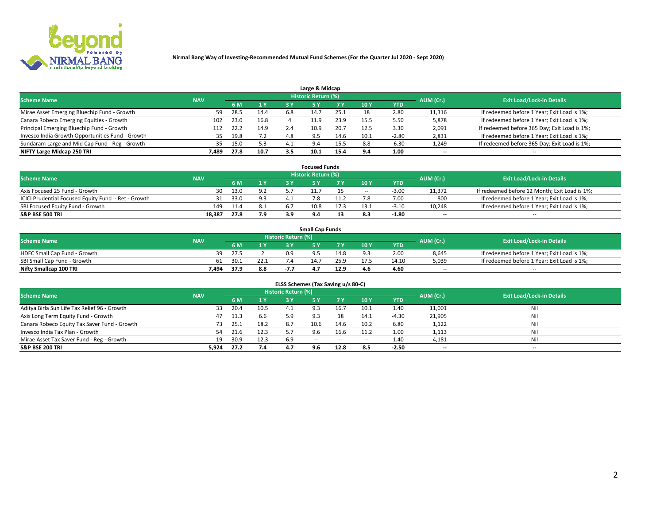

| Large & Midcap                                   |            |      |      |     |                     |      |       |         |                          |                                              |  |  |  |  |
|--------------------------------------------------|------------|------|------|-----|---------------------|------|-------|---------|--------------------------|----------------------------------------------|--|--|--|--|
| <b>Scheme Name</b>                               | <b>NAV</b> |      |      |     | Historic Return (%) |      |       |         | AUM (Cr.)                | <b>Exit Load/Lock-in Details</b>             |  |  |  |  |
|                                                  |            | 6 M  | 1 Y  | 3 Y |                     |      | '10 Y | YTD     |                          |                                              |  |  |  |  |
| Mirae Asset Emerging Bluechip Fund - Growth      | 59         | 28.5 | 14.4 | 6.8 |                     | 25.1 |       | 2.80    | 11,316                   | If redeemed before 1 Year; Exit Load is 1%;  |  |  |  |  |
| Canara Robeco Emerging Equities - Growth         | 102        | 23.0 | 16.8 |     | 11.9                | 23.9 | 15.5  | 5.50    | 5,878                    | If redeemed before 1 Year; Exit Load is 1%;  |  |  |  |  |
| Principal Emerging Bluechip Fund - Growth        | 112        | 22.2 | 14.9 | 2.4 | 10.9                | 20.7 | 12.5  | 3.30    | 2,091                    | If redeemed before 365 Day; Exit Load is 1%; |  |  |  |  |
| Invesco India Growth Opportunities Fund - Growth | 35.        | 19.8 |      | 4.8 | 95                  |      |       | $-2.80$ | 2,831                    | If redeemed before 1 Year; Exit Load is 1%;  |  |  |  |  |
| Sundaram Large and Mid Cap Fund - Reg - Growth   | 35         | 15.0 | 5.3  | 4.1 | 9.4                 |      | 8.8   | -6.30   | 1,249                    | If redeemed before 365 Day; Exit Load is 1%; |  |  |  |  |
| NIFTY Large Midcap 250 TRI                       | 7.489      | 27.8 | 10.7 | 3.5 |                     |      | 9.4   | 1.00    | $\overline{\phantom{a}}$ | $- -$                                        |  |  |  |  |

|                                                     |            |      |     |     | <b>Focused Funds</b>       |      |                          |            |                          |                                               |
|-----------------------------------------------------|------------|------|-----|-----|----------------------------|------|--------------------------|------------|--------------------------|-----------------------------------------------|
| <b>Scheme Name</b>                                  | <b>NAV</b> |      |     |     | <b>Historic Return (%)</b> |      |                          |            | AUM (Cr.)                | <b>Exit Load/Lock-in Details</b>              |
|                                                     |            | 6 M  | 1 Y |     |                            | 7 Y  | '10 Y                    | <b>YTD</b> |                          |                                               |
| Axis Focused 25 Fund - Growth                       | 30         | 13.0 | 9.2 |     |                            |      | $\overline{\phantom{a}}$ | $-3.00$    | 11,372                   | If redeemed before 12 Month; Exit Load is 1%; |
| ICICI Prudential Focused Equity Fund - Ret - Growth |            | 33.0 | 9.3 |     |                            |      |                          | 7.00       | 800                      | If redeemed before 1 Year; Exit Load is 1%;   |
| SBI Focused Equity Fund - Growth                    | 149        | 11.4 | 8.1 |     | 10.8                       | 17.3 |                          | $-3.10$    | 10,248                   | If redeemed before 1 Year; Exit Load is 1%;   |
| <b>S&amp;P BSE 500 TRI</b>                          | 18,387     | 27.8 | 7.9 | 3.9 |                            |      |                          | $-1.80$    | $\overline{\phantom{a}}$ | $\overline{\phantom{a}}$                      |

| <b>Small Cap Funds</b>       |            |      |      |                     |      |      |                 |            |           |                                             |  |  |  |
|------------------------------|------------|------|------|---------------------|------|------|-----------------|------------|-----------|---------------------------------------------|--|--|--|
| <b>Scheme Name</b>           | <b>NAV</b> |      |      | Historic Return (%) |      |      |                 |            | AUM (Cr.) | <b>Exit Load/Lock-in Details</b>            |  |  |  |
|                              |            | 6 M  |      |                     |      |      | 10 <sub>Y</sub> | <b>YTD</b> |           |                                             |  |  |  |
| HDFC Small Cap Fund - Growth | 39         | 27.5 |      | 0.9                 |      | 14.8 |                 | 2.00       | 8,645     | If redeemed before 1 Year; Exit Load is 1%; |  |  |  |
| SBI Small Cap Fund - Growth  | 61         | 30.1 | 22.1 |                     | 14.7 | 25.9 |                 | 14.10      | 5,039     | If redeemed before 1 Year; Exit Load is 1%; |  |  |  |
| Nifty Smallcap 100 TRI       | 7.494      | 37.º | 8.8  |                     |      | 12.9 | 4.6             | 4.60       | $- -$     | $- -$                                       |  |  |  |

| ELSS Schemes (Tax Saving u/s 80-C)           |            |      |      |                            |            |        |                          |            |                          |                                  |  |  |  |
|----------------------------------------------|------------|------|------|----------------------------|------------|--------|--------------------------|------------|--------------------------|----------------------------------|--|--|--|
| <b>Scheme Name</b>                           | <b>NAV</b> |      |      | <b>Historic Return (%)</b> |            |        |                          |            | AUM (Cr.)                | <b>Exit Load/Lock-in Details</b> |  |  |  |
|                                              |            | 6 M  | 1Y   | 3 Y                        | <b>5Y</b>  | 7 Y    | 10 Y                     | <b>YTD</b> |                          |                                  |  |  |  |
| Aditya Birla Sun Life Tax Relief 96 - Growth | 33         | 20.4 | 10.5 | 4.1                        |            | 16.7   | 10.1                     | 1.40       | 11,001                   | Nil                              |  |  |  |
| Axis Long Term Equity Fund - Growth          | 47         | 11.3 | 6.6  | 5.9                        | 9.3        | 18     | 14.1                     | $-4.30$    | 21,905                   | Nil                              |  |  |  |
| Canara Robeco Equity Tax Saver Fund - Growth | 73         | 25.1 | 18.2 | 8.7                        | 10.6       | 14.6   | 10.2                     | 6.80       | 1,122                    | Nil                              |  |  |  |
| Invesco India Tax Plan - Growth              | 54         | 21.6 | 12.3 |                            | 9.6        | 16.6   | 11.2                     | 1.00       | 1,113                    | Nil                              |  |  |  |
| Mirae Asset Tax Saver Fund - Reg - Growth    | 19         | 30.9 | 12.3 | 6.9                        | $\sim$ $-$ | $\sim$ | $\overline{\phantom{a}}$ | 1.40       | 4,181                    | Nil                              |  |  |  |
| S&P BSE 200 TRI                              | 5,924      | 27.2 | 7.4  |                            | 9.6        | 12.8   | 8.5                      | $-2.50$    | $\overline{\phantom{a}}$ | $- -$                            |  |  |  |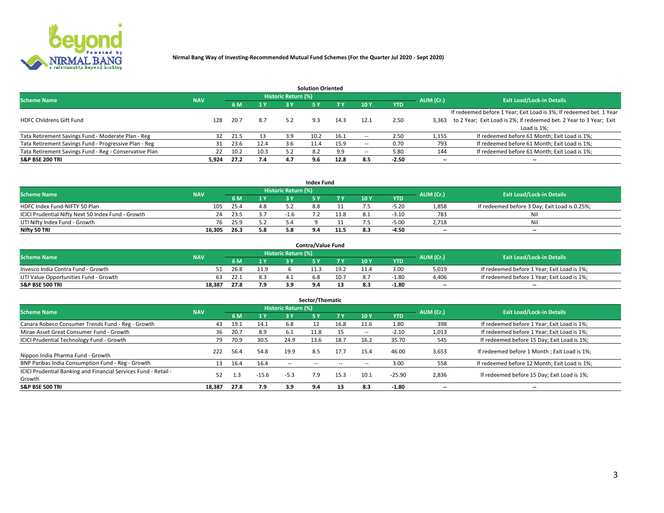

|                                                        |            |            |      |                            | <b>Solution Oriented</b> |      |                          |            |                          |                                                                     |
|--------------------------------------------------------|------------|------------|------|----------------------------|--------------------------|------|--------------------------|------------|--------------------------|---------------------------------------------------------------------|
| <b>Scheme Name</b>                                     | <b>NAV</b> |            |      | <b>Historic Return (%)</b> |                          |      |                          |            | AUM (Cr.)                | <b>Exit Load/Lock-in Details</b>                                    |
|                                                        |            | <b>6 M</b> | 1 Y  | 3 Y                        |                          |      | 10Y                      | <b>YTD</b> |                          |                                                                     |
|                                                        |            |            |      |                            |                          |      |                          |            |                          | If redeemed before 1 Year; Exit Load is 3%; If redeemed bet. 1 Year |
| <b>HDFC Childrens Gift Fund</b>                        | 128        | 20.7       | 8.7  | 5.2                        | 9.3                      | 14.3 | 12.1                     | 2.50       | 3.363                    | to 2 Year; Exit Load is 2%; If redeemed bet. 2 Year to 3 Year; Exit |
|                                                        |            |            |      |                            |                          |      |                          |            |                          | Load is 1%;                                                         |
| Tata Retirement Savings Fund - Moderate Plan - Reg     | 32         | 21.5       | 13   | 3.9                        | 10.2                     | 16.1 | --                       | 2.50       | 1,155                    | If redeemed before 61 Month; Exit Load is 1%;                       |
| Tata Retirement Savings Fund - Progressive Plan - Reg  | 31         | 23.6       | 12.4 | 3.6                        | 11.4                     | 15.9 | $\overline{\phantom{a}}$ | 0.70       | 793                      | If redeemed before 61 Month; Exit Load is 1%;                       |
| Tata Retirement Savings Fund - Reg - Conservative Plan | 22         | 10.2       | 10.3 | 5.2                        |                          | 9.9  | --                       | 5.80       | 144                      | If redeemed before 61 Month; Exit Load is 1%;                       |
| S&P BSE 200 TRI                                        | 5,924      | 27.2       | 7.4  | 4.7                        | 9.6                      | 12.8 | 8.5                      | $-2.50$    | $\overline{\phantom{a}}$ | $- -$                                                               |

|                                                    |            |      |                |                            | <b>Index Fund</b> |      |      |            |                          |                                               |
|----------------------------------------------------|------------|------|----------------|----------------------------|-------------------|------|------|------------|--------------------------|-----------------------------------------------|
| <b>Scheme Name</b>                                 | <b>NAV</b> |      |                | <b>Historic Return (%)</b> |                   |      |      |            | AUM (Cr.)                | <b>Exit Load/Lock-in Details</b>              |
|                                                    |            |      | $\sqrt{1}$ $V$ | 2 V                        |                   | 7 V  | 10 Y | <b>YTD</b> |                          |                                               |
| HDFC Index Fund-NIFTY 50 Plan                      | 105        | 25.4 | 4.8            |                            | 8.ŏ               |      |      | $-5.20$    | 1,858                    | If redeemed before 3 Day; Exit Load is 0.25%; |
| ICICI Prudential Nifty Next 50 Index Fund - Growth | 24         | 23.5 |                | $-1.6$                     |                   | 13.8 |      | $-3.10$    | 783                      | Nil                                           |
| UTI Nifty Index Fund - Growth                      | 76         | 25.9 |                |                            |                   |      |      | $-5.00$    | 2,718                    | Nil                                           |
| Nifty 50 TRI                                       | 16.305     | 26.3 | 5.8            |                            |                   | 11.5 |      | -4.50      | $\overline{\phantom{a}}$ | $- -$                                         |

|                                       |            |      |                                   |                            | <b>Contra/Value Fund</b> |      |     |            |                          |                                             |
|---------------------------------------|------------|------|-----------------------------------|----------------------------|--------------------------|------|-----|------------|--------------------------|---------------------------------------------|
| <b>Scheme Name</b>                    | <b>NAV</b> |      |                                   | <b>Historic Return (%)</b> |                          |      |     |            | AUM (Cr.)                | <b>Exit Load/Lock-in Details</b>            |
|                                       |            |      | $\boldsymbol{A}$ $\boldsymbol{V}$ |                            |                          | 7 V  | 10Y | <b>YTD</b> |                          |                                             |
| Invesco India Contra Fund - Growth    |            | 26.8 | 11.9                              |                            | 11.3                     | 19.2 |     | 3.00       | 5,019                    | If redeemed before 1 Year; Exit Load is 1%; |
| UTI Value Opportunities Fund - Growth | 63         | 22.1 | 8.3                               |                            | ה.ה                      | 10.7 |     | $-1.80$    | 4,406                    | If redeemed before 1 Year; Exit Load is 1%; |
| <b>S&amp;P BSE 500 TRI</b>            | 18.387     | 27.8 | 7.9                               | 3.9                        |                          |      |     | $-1.80$    | $\overline{\phantom{a}}$ | $- -$                                       |

|                                                                           |            |      |                |                            | Sector/Thematic |           |                          |            |           |                                               |
|---------------------------------------------------------------------------|------------|------|----------------|----------------------------|-----------------|-----------|--------------------------|------------|-----------|-----------------------------------------------|
| <b>Scheme Name</b>                                                        | <b>NAV</b> |      |                | <b>Historic Return (%)</b> |                 |           |                          |            | AUM (Cr.) | <b>Exit Load/Lock-in Details</b>              |
|                                                                           |            | 6 M  | 1 <sub>Y</sub> | 3 Y                        | <b>5Y</b>       | <b>7Y</b> | 10Y                      | <b>YTD</b> |           |                                               |
| Canara Robeco Consumer Trends Fund - Reg - Growth                         | 43         | 19.1 | 14.1           | 6.8                        |                 | 16.8      | 11.6                     | 1.80       | 398       | If redeemed before 1 Year; Exit Load is 1%;   |
| Mirae Asset Great Consumer Fund - Growth                                  | 36         | 20.7 | 8.9            | 6.1                        | 11.8            |           | $\overline{\phantom{a}}$ | $-2.10$    | 1,013     | If redeemed before 1 Year; Exit Load is 1%;   |
| <b>ICICI Prudential Technology Fund - Growth</b>                          | 79         | 70.9 | 30.5           | 24.9                       | 13.6            | 18.7      | 16.2                     | 35.70      | 545       | If redeemed before 15 Day; Exit Load is 1%;   |
| Nippon India Pharma Fund - Growth                                         | 222        | 56.4 | 54.8           | 19.9                       | 8.5             | 17.7      | 15.4                     | 46.00      | 3,653     | If redeemed before 1 Month; Exit Load is 1%;  |
| BNP Paribas India Consumption Fund - Reg - Growth                         | 13         | 16.4 | 16.4           | --                         |                 |           | -                        | 3.00       | 558       | If redeemed before 12 Month; Exit Load is 1%; |
| ICICI Prudential Banking and Financial Services Fund - Retail -<br>Growth | 52         | 1.3  | $-15.6$        | $-5.3$                     | 7.9             | 15.3      | 10.1                     | $-25.90$   | 2,836     | If redeemed before 15 Day; Exit Load is 1%;   |
| <b>S&amp;P BSE 500 TRI</b>                                                | 18.387     | 27.8 | 7.9            | 3.9                        | 9.4             | 13        | 8.3                      | $-1.80$    |           | --                                            |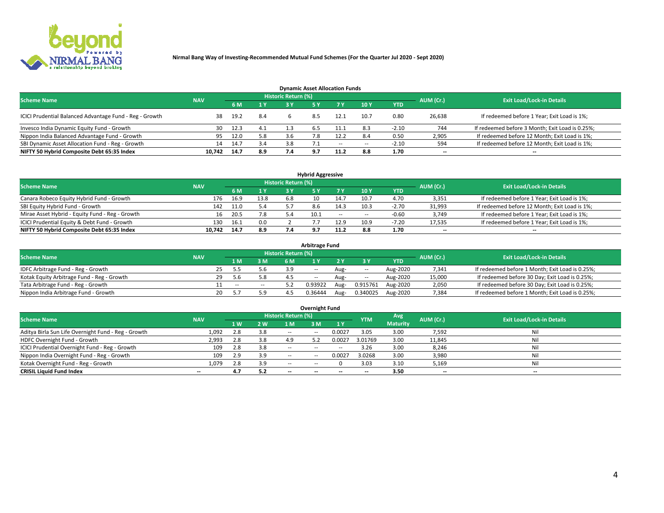

| <b>Dynamic Asset Allocation Funds</b>                   |            |      |                         |                     |  |        |        |            |                          |                                                 |  |  |  |  |
|---------------------------------------------------------|------------|------|-------------------------|---------------------|--|--------|--------|------------|--------------------------|-------------------------------------------------|--|--|--|--|
| <b>Scheme Name</b>                                      | <b>NAV</b> |      |                         | Historic Return (%) |  |        |        |            | AUM (Cr.)                | <b>Exit Load/Lock-in Details</b>                |  |  |  |  |
|                                                         |            |      | $\mathbf{A} \mathbf{V}$ | 2 V                 |  | 7 Y    | 10 Y   | <b>YTD</b> |                          |                                                 |  |  |  |  |
| ICICI Prudential Balanced Advantage Fund - Reg - Growth | 38         | 19.2 | 8.4                     |                     |  | 12.1   | 10.7   | 0.80       | 26,638                   | If redeemed before 1 Year; Exit Load is 1%;     |  |  |  |  |
| Invesco India Dynamic Equity Fund - Growth              | 30         | 12.3 | 4.1                     | 1.3                 |  |        |        | $-2.10$    | 744                      | If redeemed before 3 Month; Exit Load is 0.25%; |  |  |  |  |
| Nippon India Balanced Advantage Fund - Growth           | 95         | 12.0 | 5.8                     |                     |  | 12.2   |        | 0.50       | 2,905                    | If redeemed before 12 Month; Exit Load is 1%;   |  |  |  |  |
| SBI Dynamic Asset Allocation Fund - Reg - Growth        | 14         | 14.7 | 3.4                     |                     |  | $\sim$ | $\sim$ | $-2.10$    | 594                      | If redeemed before 12 Month; Exit Load is 1%;   |  |  |  |  |
| NIFTY 50 Hybrid Composite Debt 65:35 Index              | 10.742     | 14.7 | 8.9                     |                     |  | 11.2   | 8.8    | 1.70       | $\overline{\phantom{a}}$ | $- -$                                           |  |  |  |  |

| <b>Hybrid Aggressive</b>                        |            |      |                         |                            |      |            |            |            |           |                                               |  |  |  |  |
|-------------------------------------------------|------------|------|-------------------------|----------------------------|------|------------|------------|------------|-----------|-----------------------------------------------|--|--|--|--|
| <b>Scheme Name</b>                              | <b>NAV</b> |      |                         | <b>Historic Return (%)</b> |      |            |            |            | AUM (Cr.) | <b>Exit Load/Lock-in Details</b>              |  |  |  |  |
|                                                 |            |      | $\mathbf{A} \mathbf{v}$ | 3 Y                        |      |            | <b>10Y</b> | <b>YTD</b> |           |                                               |  |  |  |  |
| Canara Robeco Equity Hybrid Fund - Growth       | 176        | 16.9 | 13.8                    | 6.8                        |      | 14.7       | 10.7       | 4.70       | 3,351     | If redeemed before 1 Year; Exit Load is 1%;   |  |  |  |  |
| SBI Equity Hybrid Fund - Growth                 | 142        | 11.0 | 5.4                     |                            | 8.6  | 14.3       | 10.3       | $-2.70$    | 31,993    | If redeemed before 12 Month; Exit Load is 1%; |  |  |  |  |
| Mirae Asset Hybrid - Equity Fund - Reg - Growth | 16         | 20.5 | 7.8                     |                            | 10.1 | $\sim$ $-$ | $\sim$     | $-0.60$    | 3,749     | If redeemed before 1 Year; Exit Load is 1%;   |  |  |  |  |
| ICICI Prudential Equity & Debt Fund - Growth    | 130        | 16.1 | 0.0                     |                            |      | 12.9       | 10.9       | $-7.20$    | 17,535    | If redeemed before 1 Year; Exit Load is 1%;   |  |  |  |  |
| NIFTY 50 Hybrid Composite Debt 65:35 Index      | 10.742     | 14.7 | 8.9                     |                            |      |            | 8.8        | 1.70       | --        | $- -$                                         |  |  |  |  |

| <b>Arbitrage Fund</b>                      |            |    |       |        |                            |            |      |          |                   |           |                                                 |  |  |  |
|--------------------------------------------|------------|----|-------|--------|----------------------------|------------|------|----------|-------------------|-----------|-------------------------------------------------|--|--|--|
| <b>Scheme Name</b>                         | <b>NAV</b> |    |       |        | <b>Historic Return (%)</b> |            |      |          |                   | AUM (Cr.) | <b>Exit Load/Lock-in Details</b>                |  |  |  |
|                                            |            |    | 1 M   | 3 M    |                            |            |      |          | <b>YTD</b>        |           |                                                 |  |  |  |
| IDFC Arbitrage Fund - Reg - Growth         |            |    |       | 5.6    | 3.9                        | $\sim$ $-$ | Aug- | $\sim$   | Aug-2020          | 7,341     | If redeemed before 1 Month; Exit Load is 0.25%; |  |  |  |
| Kotak Equity Arbitrage Fund - Reg - Growth |            | 29 | 5.6   | 5.8    |                            | $\sim$ $-$ | Aug- | $\sim$   | Aug-2020          | 15,000    | If redeemed before 30 Day; Exit Load is 0.25%;  |  |  |  |
| Tata Arbitrage Fund - Reg - Growth         |            |    | $- -$ | $\sim$ |                            | 0.93922    | Aug- | 0.915761 | Aug-2020          | 2,050     | If redeemed before 30 Day; Exit Load is 0.25%;  |  |  |  |
| Nippon India Arbitrage Fund - Growth       |            | 20 |       | 5.9    |                            | 0.36444    |      |          | 0.340025 Aug-2020 | 7,384     | If redeemed before 1 Month; Exit Load is 0.25%; |  |  |  |

| <b>Overnight Fund</b>                               |            |     |     |                     |            |           |            |                 |           |                                  |  |  |  |  |
|-----------------------------------------------------|------------|-----|-----|---------------------|------------|-----------|------------|-----------------|-----------|----------------------------------|--|--|--|--|
| <b>Scheme Name</b>                                  | <b>NAV</b> |     |     | Historic Return (%) |            |           | <b>YTM</b> | Avg             | AUM (Cr.) | <b>Exit Load/Lock-in Details</b> |  |  |  |  |
|                                                     |            | 1W  | 2W  | 1 M                 | 3 M        | <b>1Y</b> |            | <b>Maturity</b> |           |                                  |  |  |  |  |
| Aditya Birla Sun Life Overnight Fund - Reg - Growth | 1,092      | 2.8 | 3.8 | $\sim$ $-$          | $\sim$ $-$ | 0.0027    | 3.05       | 3.00            | 7,592     | Nil                              |  |  |  |  |
| HDFC Overnight Fund - Growth                        | 2,993      | 2.8 | 3.8 | 49                  |            | 0.0027    | 3.01769    | 3.00            | 11,845    | Nil                              |  |  |  |  |
| ICICI Prudential Overnight Fund - Reg - Growth      | 109        | 2.8 | 3.8 | $\sim$ $-$          | --         | $- -$     | 3.26       | 3.00            | 8,246     | Nil                              |  |  |  |  |
| Nippon India Overnight Fund - Reg - Growth          | 109        | 2.9 | 3.9 | $\sim$ $-$          | $- -$      | 0.0027    | 3.0268     | 3.00            | 3,980     | Nil                              |  |  |  |  |
| Kotak Overnight Fund - Reg - Growth                 | 1.079      | 2.8 | 3.9 | $\sim$ $\sim$       |            |           | 3.03       | 3.10            | 5,169     | Nil                              |  |  |  |  |
| <b>CRISIL Liquid Fund Index</b>                     | $- -$      | 4.7 | 5.2 | $- -$               |            |           | --         | 3.50            | $-$       | $- -$                            |  |  |  |  |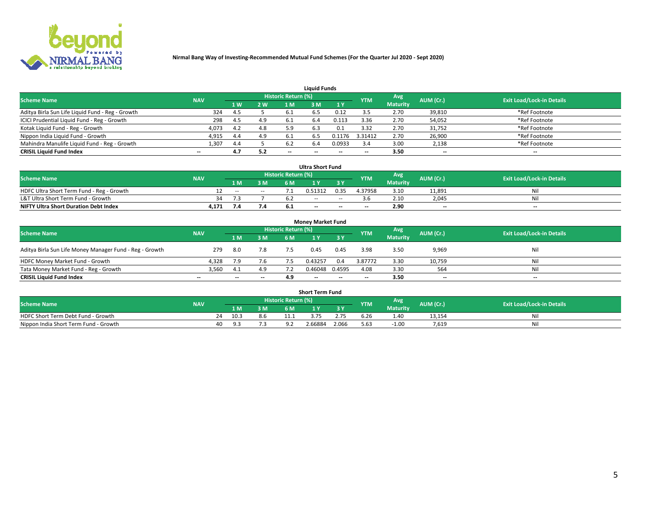

| <b>Liquid Funds</b>                              |            |     |     |                     |                          |        |            |                 |                          |                                  |  |  |  |  |
|--------------------------------------------------|------------|-----|-----|---------------------|--------------------------|--------|------------|-----------------|--------------------------|----------------------------------|--|--|--|--|
| <b>Scheme Name</b>                               | <b>NAV</b> |     |     | Historic Return (%) |                          |        | <b>YTM</b> | <b>Avg</b>      | AUM (Cr.)                | <b>Exit Load/Lock-in Details</b> |  |  |  |  |
|                                                  |            | 1W  | 2 W | 1 M                 | l M'                     | 1Y     |            | <b>Maturity</b> |                          |                                  |  |  |  |  |
| Aditya Birla Sun Life Liquid Fund - Reg - Growth | 324        | 4.5 |     |                     |                          | 0.12   |            | 2.70            | 39,810                   | *Ref Footnote                    |  |  |  |  |
| ICICI Prudential Liquid Fund - Reg - Growth      | 298        | 4.5 | 4.9 |                     | 6.4                      | 0.113  | 3.36       | 2.70            | 54,052                   | *Ref Footnote                    |  |  |  |  |
| Kotak Liquid Fund - Reg - Growth                 | 4,073      | 4.2 | 4.8 | 5.9                 | 6.3                      | 0.1    | 3.32       | 2.70            | 31,752                   | *Ref Footnote                    |  |  |  |  |
| Nippon India Liquid Fund - Growth                | 4,915      | 4.4 | 4.9 |                     | 6.5                      | 0.1176 | 3.31412    | 2.70            | 26,900                   | *Ref Footnote                    |  |  |  |  |
| Mahindra Manulife Liquid Fund - Reg - Growth     | 1.307      | 4.4 |     | 6.2                 |                          | 0.0933 |            | 3.00            | 2,138                    | *Ref Footnote                    |  |  |  |  |
| <b>CRISIL Liquid Fund Index</b>                  | $- -$      | 4.7 | 5.2 | $-$                 | $\overline{\phantom{a}}$ | $- -$  | $- -$      | 3.50            | $\overline{\phantom{a}}$ | $- -$                            |  |  |  |  |

| <b>Ultra Short Fund</b>                      |            |               |       |                            |         |       |                          |                 |                          |                                  |  |  |  |  |
|----------------------------------------------|------------|---------------|-------|----------------------------|---------|-------|--------------------------|-----------------|--------------------------|----------------------------------|--|--|--|--|
| <b>Scheme Name</b>                           | <b>NAV</b> |               |       | <b>Historic Return (%)</b> |         |       | <b>YTM</b>               | Avg             | AUM (Cr.)                | <b>Exit Load/Lock-in Details</b> |  |  |  |  |
|                                              |            | 1 M/          | 3M    | 6 M                        |         |       |                          | <b>Maturity</b> |                          |                                  |  |  |  |  |
| HDFC Ultra Short Term Fund - Reg - Growth    |            | $\sim$ $\sim$ | $- -$ |                            | 0.51312 | 0.35  | 4.37958                  | 3.10            | 11.891                   | Ni                               |  |  |  |  |
| L&T Ultra Short Term Fund - Growth           | 34         |               |       |                            | $- -$   | $-$   |                          | 2.10            | 2.045                    | Ni                               |  |  |  |  |
| <b>NIFTY Ultra Short Duration Debt Index</b> | 4,171      | 7.4           | 7.4   | <b>D.L</b>                 | $-$     | $- -$ | $\overline{\phantom{a}}$ | 2.90            | $\overline{\phantom{a}}$ | $\overline{\phantom{a}}$         |  |  |  |  |

| <b>Money Market Fund</b>                                |            |       |     |                     |         |        |                          |                 |                          |                                  |  |  |  |  |
|---------------------------------------------------------|------------|-------|-----|---------------------|---------|--------|--------------------------|-----------------|--------------------------|----------------------------------|--|--|--|--|
| <b>Scheme Name</b>                                      | <b>NAV</b> |       |     | Historic Return (%) |         |        | <b>YTM</b>               | Avg             | AUM (Cr.)                | <b>Exit Load/Lock-in Details</b> |  |  |  |  |
|                                                         |            | 1 M   | 3 M | 6 M                 |         | 3 Y    |                          | <b>Maturity</b> |                          |                                  |  |  |  |  |
| Aditya Birla Sun Life Money Manager Fund - Reg - Growth | 279        | -8.0  | 7.8 | 7.5                 | 0.45    | 0.45   | 3.98                     | 3.50            | 9,969                    | Nil                              |  |  |  |  |
| HDFC Money Market Fund - Growth                         | 4,328      | 7.9   | 7.6 |                     | 0.43257 | 0.4    | 3.87772                  | 3.30            | 10,759                   | Nil                              |  |  |  |  |
| Tata Money Market Fund - Reg - Growth                   | 3,560      |       | 4.9 |                     | 0.46048 | 0.4595 | 4.08                     | 3.30            | 564                      | Nil                              |  |  |  |  |
| <b>CRISIL Liquid Fund Index</b>                         | $- -$      | $- -$ | $-$ | 4.9                 | $- -$   | $- -$  | $\overline{\phantom{a}}$ | 3.50            | $\overline{\phantom{a}}$ | $- -$                            |  |  |  |  |

|                                       |            |      |     |                     | <b>Short Term Fund</b> |       |      |                 |           |                                  |
|---------------------------------------|------------|------|-----|---------------------|------------------------|-------|------|-----------------|-----------|----------------------------------|
| <b>Scheme Name</b>                    | <b>NAV</b> |      |     | Historic Return (%) |                        |       |      | Avg<br>YTM      | AUM (Cr.) | <b>Exit Load/Lock-in Details</b> |
|                                       |            | 1 M. | 3 M | 6 M                 | ı v                    | 2 V   |      | <b>Maturity</b> |           |                                  |
| HDFC Short Term Debt Fund - Growth    | 24         | 10.3 | 8.6 |                     | د                      | 2.75  | 6.26 | 1.40            | 13,154    | N                                |
| Nippon India Short Term Fund - Growth | 40         |      | د./ |                     | 2.66884                | 2.066 | 5.63 | $-1.00$         | 7.619     | M                                |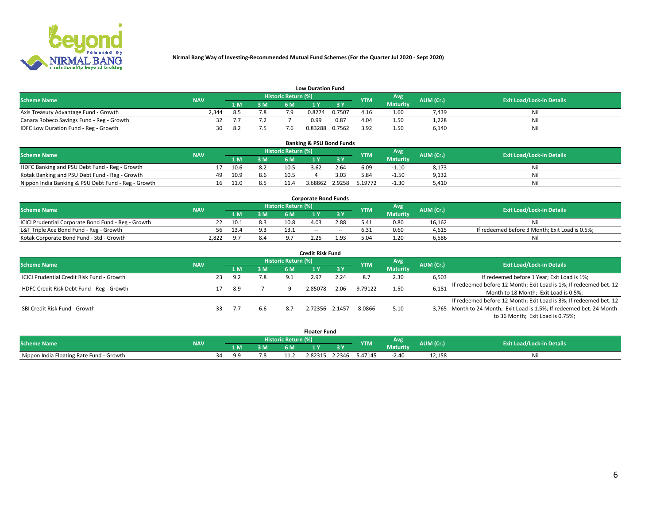

| <b>Low Duration Fund</b>                  |            |      |     |                     |         |        |            |                 |           |                                  |  |  |  |  |
|-------------------------------------------|------------|------|-----|---------------------|---------|--------|------------|-----------------|-----------|----------------------------------|--|--|--|--|
| <b>Scheme Name</b>                        | <b>NAV</b> |      |     | Historic Return (%) |         |        | <b>YTM</b> | Avg             | AUM (Cr.) | <b>Exit Load/Lock-in Details</b> |  |  |  |  |
|                                           |            | LM.  | 3 M | 6 M                 |         | 3 Y.   |            | <b>Maturity</b> |           |                                  |  |  |  |  |
| Axis Treasury Advantage Fund - Growth     | ?.344      |      | 7.8 | 7 Q                 | 0.8274  | 0.7507 | 4.16       | 1.60            | 7.439     | Nil                              |  |  |  |  |
| Canara Robeco Savings Fund - Reg - Growth |            |      |     |                     | 0.99    | 0.87   | 4.04       | 1.50            | 1,228     | Nil                              |  |  |  |  |
| IDFC Low Duration Fund - Reg - Growth     | 30         | -8.2 |     |                     | 0.83288 | 0.7562 | 3.92       | 1.50            | 6,140     | Nil                              |  |  |  |  |

| <b>Banking &amp; PSU Bond Funds</b>                 |            |     |      |     |                     |         |        |            |                 |           |                                  |  |  |  |
|-----------------------------------------------------|------------|-----|------|-----|---------------------|---------|--------|------------|-----------------|-----------|----------------------------------|--|--|--|
| <b>Scheme Name</b>                                  | <b>NAV</b> |     |      |     | Historic Return (%) |         |        | <b>YTM</b> | Avg             | AUM (Cr.) | <b>Exit Load/Lock-in Details</b> |  |  |  |
|                                                     |            |     | 1 M. | 3 M | 6 M                 |         | 3 Y    |            | <b>Maturity</b> |           |                                  |  |  |  |
| HDFC Banking and PSU Debt Fund - Reg - Growth       |            |     | 10.6 | 8.2 | 10.5                | 3.62    | 2.64   | 6.09       | $-1.10$         | 8,173     | Ni                               |  |  |  |
| Kotak Banking and PSU Debt Fund - Reg - Growth      |            | 49. | 10.9 | 8.6 | 10.5                |         | 3.03   | 5.84       | $-1.50$         | 9,132     | Ni                               |  |  |  |
| Nippon India Banking & PSU Debt Fund - Reg - Growth |            | 16  | 11.0 | 8.5 | 11.4                | 3.68862 | 2.9258 | 5.19772    | $-1.30$         | 5,410     | Ni                               |  |  |  |

| <b>Corporate Bond Funds</b>                         |            |      |     |                            |       |        |            |                 |           |                                                |  |  |  |  |
|-----------------------------------------------------|------------|------|-----|----------------------------|-------|--------|------------|-----------------|-----------|------------------------------------------------|--|--|--|--|
| <b>Scheme Name</b>                                  | <b>NAV</b> |      |     | <b>Historic Return (%)</b> |       |        | <b>YTM</b> | Avg             | AUM (Cr.) | <b>Exit Load/Lock-in Details</b>               |  |  |  |  |
|                                                     |            |      | 3 M | 6 M.                       |       |        |            | <b>Maturity</b> |           |                                                |  |  |  |  |
| ICICI Prudential Corporate Bond Fund - Reg - Growth |            | 10.1 |     | 10.8                       | 4.03  | 2.88   | 5.41       | 0.80            | 16.162    | Nil                                            |  |  |  |  |
| L&T Triple Ace Bond Fund - Reg - Growth             | 56         | 13.4 |     |                            | $- -$ | $\sim$ | 6.31       | 0.60            | 4,615     | If redeemed before 3 Month; Exit Load is 0.5%; |  |  |  |  |
| Kotak Corporate Bond Fund - Std - Growth            | 2.822      |      | 8.4 |                            |       | 1.93   |            | 1.20            | 6,586     | Nil                                            |  |  |  |  |

| <b>Credit Risk Fund</b>                    |            |    |     |     |                            |         |      |            |                 |           |                                                                       |  |  |
|--------------------------------------------|------------|----|-----|-----|----------------------------|---------|------|------------|-----------------|-----------|-----------------------------------------------------------------------|--|--|
| <b>Scheme Name</b>                         | <b>NAV</b> |    |     |     | <b>Historic Return (%)</b> |         |      | <b>YTM</b> | <b>Avg</b>      | AUM (Cr.) | <b>Exit Load/Lock-in Details</b>                                      |  |  |
|                                            |            |    | 1 M | 3 M | 6 M                        |         | 3 Y  |            | <b>Maturity</b> |           |                                                                       |  |  |
| ICICI Prudential Credit Risk Fund - Growth |            | 23 | 9.2 | 7.8 | 9.1                        | 2.97    | 2.24 |            | 2.30            | 6,503     | If redeemed before 1 Year; Exit Load is 1%;                           |  |  |
| HDFC Credit Risk Debt Fund - Reg - Growth  |            |    | 8.9 |     |                            | 2.85078 | 2.06 | 9.79122    | 1.50            | 6,181     | If redeemed before 12 Month; Exit Load is 1%; If redeemed bet. 12     |  |  |
|                                            |            |    |     |     |                            |         |      |            |                 |           | Month to 18 Month; Exit Load is 0.5%;                                 |  |  |
|                                            |            |    |     |     |                            |         |      |            |                 |           | If redeemed before 12 Month; Exit Load is 3%; If redeemed bet. 12     |  |  |
| SBI Credit Risk Fund - Growth              |            | 33 | 7.7 | 6.6 |                            | 2.72356 | 1457 | 8.0866     | 5.10            |           | 3,765 Month to 24 Month; Exit Load is 1.5%; If redeemed bet. 24 Month |  |  |
|                                            |            |    |     |     |                            |         |      |            |                 |           | to 36 Month; Exit Load is 0.75%;                                      |  |  |

| <b>Floater Fund</b>                      |            |    |     |     |                       |         |        |            |                        |           |                                  |
|------------------------------------------|------------|----|-----|-----|-----------------------|---------|--------|------------|------------------------|-----------|----------------------------------|
| <b>Scheme Name</b>                       | <b>NAV</b> |    |     |     | ' Historic Return (%) |         |        | <b>YTM</b> | Avg<br><b>Maturity</b> | AUM (Cr.) | <b>Exit Load/Lock-in Details</b> |
|                                          |            |    | 1 M | ЗM  | 6 M                   | - 17    | n c    |            |                        |           |                                  |
| Nippon India Floating Rate Fund - Growth |            | 34 | - വ | 7.8 |                       | 2.82315 | 2.2346 | 5.47145    | $-2.40$                | 12,158    | Νı                               |